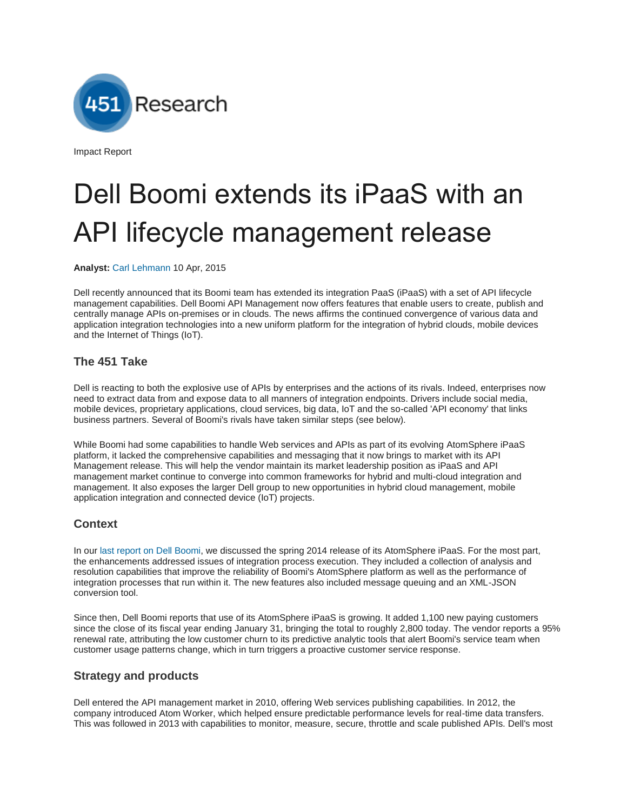Research

Impact Report

# Dell Boomi extends its iPaaS with an API lifecycle management release

**Analyst:** [Carl Lehmann](https://451research.com/biography?eid=585) 10 Apr, 2015

Dell recently announced that its Boomi team has extended its integration PaaS (iPaaS) with a set of API lifecycle management capabilities. Dell Boomi API Management now offers features that enable users to create, publish and centrally manage APIs on-premises or in clouds. The news affirms the continued convergence of various data and application integration technologies into a new uniform platform for the integration of hybrid clouds, mobile devices and the Internet of Things (IoT).

## **The 451 Take**

Dell is reacting to both the explosive use of APIs by enterprises and the actions of its rivals. Indeed, enterprises now need to extract data from and expose data to all manners of integration endpoints. Drivers include social media, mobile devices, proprietary applications, cloud services, big data, IoT and the so-called 'API economy' that links business partners. Several of Boomi's rivals have taken similar steps (see below).

While Boomi had some capabilities to handle Web services and APIs as part of its evolving AtomSphere iPaaS platform, it lacked the comprehensive capabilities and messaging that it now brings to market with its API Management release. This will help the vendor maintain its market leadership position as iPaaS and API management market continue to converge into common frameworks for hybrid and multi-cloud integration and management. It also exposes the larger Dell group to new opportunities in hybrid cloud management, mobile application integration and connected device (IoT) projects.

# **Context**

In ou[r last report on Dell Boomi,](https://451research.com/report-short?entityId=81170) we discussed the spring 2014 release of its AtomSphere iPaaS. For the most part, the enhancements addressed issues of integration process execution. They included a collection of analysis and resolution capabilities that improve the reliability of Boomi's AtomSphere platform as well as the performance of integration processes that run within it. The new features also included message queuing and an XML-JSON conversion tool.

Since then, Dell Boomi reports that use of its AtomSphere iPaaS is growing. It added 1,100 new paying customers since the close of its fiscal year ending January 31, bringing the total to roughly 2,800 today. The vendor reports a 95% renewal rate, attributing the low customer churn to its predictive analytic tools that alert Boomi's service team when customer usage patterns change, which in turn triggers a proactive customer service response.

# **Strategy and products**

Dell entered the API management market in 2010, offering Web services publishing capabilities. In 2012, the company introduced Atom Worker, which helped ensure predictable performance levels for real-time data transfers. This was followed in 2013 with capabilities to monitor, measure, secure, throttle and scale published APIs. Dell's most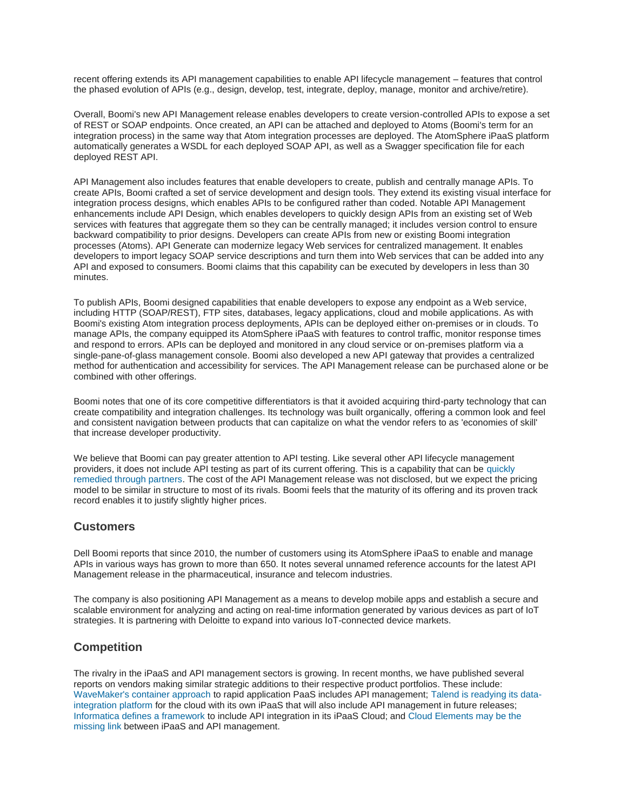recent offering extends its API management capabilities to enable API lifecycle management – features that control the phased evolution of APIs (e.g., design, develop, test, integrate, deploy, manage, monitor and archive/retire).

Overall, Boomi's new API Management release enables developers to create version-controlled APIs to expose a set of REST or SOAP endpoints. Once created, an API can be attached and deployed to Atoms (Boomi's term for an integration process) in the same way that Atom integration processes are deployed. The AtomSphere iPaaS platform automatically generates a WSDL for each deployed SOAP API, as well as a Swagger specification file for each deployed REST API.

API Management also includes features that enable developers to create, publish and centrally manage APIs. To create APIs, Boomi crafted a set of service development and design tools. They extend its existing visual interface for integration process designs, which enables APIs to be configured rather than coded. Notable API Management enhancements include API Design, which enables developers to quickly design APIs from an existing set of Web services with features that aggregate them so they can be centrally managed; it includes version control to ensure backward compatibility to prior designs. Developers can create APIs from new or existing Boomi integration processes (Atoms). API Generate can modernize legacy Web services for centralized management. It enables developers to import legacy SOAP service descriptions and turn them into Web services that can be added into any API and exposed to consumers. Boomi claims that this capability can be executed by developers in less than 30 minutes.

To publish APIs, Boomi designed capabilities that enable developers to expose any endpoint as a Web service, including HTTP (SOAP/REST), FTP sites, databases, legacy applications, cloud and mobile applications. As with Boomi's existing Atom integration process deployments, APIs can be deployed either on-premises or in clouds. To manage APIs, the company equipped its AtomSphere iPaaS with features to control traffic, monitor response times and respond to errors. APIs can be deployed and monitored in any cloud service or on-premises platform via a single-pane-of-glass management console. Boomi also developed a new API gateway that provides a centralized method for authentication and accessibility for services. The API Management release can be purchased alone or be combined with other offerings.

Boomi notes that one of its core competitive differentiators is that it avoided acquiring third-party technology that can create compatibility and integration challenges. Its technology was built organically, offering a common look and feel and consistent navigation between products that can capitalize on what the vendor refers to as 'economies of skill' that increase developer productivity.

We believe that Boomi can pay greater attention to API testing. Like several other API lifecycle management providers, it does not include API testing as part of its current offering. This is a capability that can be [quickly](https://451research.com/report-short?entityId=84086)  [remedied through partners.](https://451research.com/report-short?entityId=84086) The cost of the API Management release was not disclosed, but we expect the pricing model to be similar in structure to most of its rivals. Boomi feels that the maturity of its offering and its proven track record enables it to justify slightly higher prices.

### **Customers**

Dell Boomi reports that since 2010, the number of customers using its AtomSphere iPaaS to enable and manage APIs in various ways has grown to more than 650. It notes several unnamed reference accounts for the latest API Management release in the pharmaceutical, insurance and telecom industries.

The company is also positioning API Management as a means to develop mobile apps and establish a secure and scalable environment for analyzing and acting on real-time information generated by various devices as part of IoT strategies. It is partnering with Deloitte to expand into various IoT-connected device markets.

### **Competition**

The rivalry in the iPaaS and API management sectors is growing. In recent months, we have published several reports on vendors making similar strategic additions to their respective product portfolios. These include: [WaveMaker's container approach](https://451research.com/report-short?entityId=84462) to rapid application PaaS includes API management; [Talend is readying its data](https://451research.com/report-short?entityId=84421)[integration platform](https://451research.com/report-short?entityId=84421) for the cloud with its own iPaaS that will also include API management in future releases; [Informatica defines a framework](https://451research.com/report-short?entityId=84384) to include API integration in its iPaaS Cloud; an[d Cloud Elements may be the](https://451research.com/report-short?entityId=83992)  [missing link](https://451research.com/report-short?entityId=83992) between iPaaS and API management.